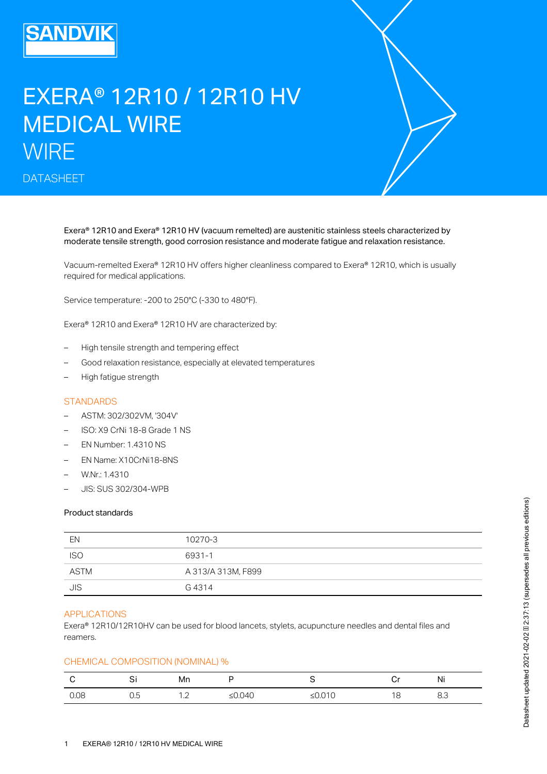# EXERA® 12R10 / 12R10 HV MEDICAL WIRE **WIRE**

DATASHEET

Exera® 12R10 and Exera® 12R10 HV (vacuum remelted) are austenitic stainless steels characterized by moderate tensile strength, good corrosion resistance and moderate fatigue and relaxation resistance.

Vacuum-remelted Exera® 12R10 HV offers higher cleanliness compared to Exera® 12R10, which is usually required for medical applications.

Service temperature: -200 to 250°C (-330 to 480°F).

Exera® 12R10 and Exera® 12R10 HV are characterized by:

- High tensile strength and tempering effect
- Good relaxation resistance, especially at elevated temperatures
- High fatigue strength

## **STANDARDS**

- ASTM: 302/302VM, '304V'
- ISO: X9 CrNi 18-8 Grade 1 NS
- EN Number: 1.4310 NS
- EN Name: X10CrNi18-8NS
- W.Nr.: 1.4310
- JIS: SUS 302/304-WPB

#### Product standards

| EN         | 10270-3            |
|------------|--------------------|
| <b>ISO</b> | 6931-1             |
| ASTM       | A 313/A 313M, F899 |
| JIS        | G 4314             |

## APPLICATIONS

Exera® 12R10/12R10HV can be used for blood lancets, stylets, acupuncture needles and dental files and reamers.

# CHEMICAL COMPOSITION (NOMINAL) %

|      | <b>.</b><br>ັັ | Mn      |            |         | Ÿ | <br>NI |
|------|----------------|---------|------------|---------|---|--------|
| 0.08 | ے . ب          | $\cdot$ | .040<br>∸∽ | ◡<br>–∽ |   | 0.0    |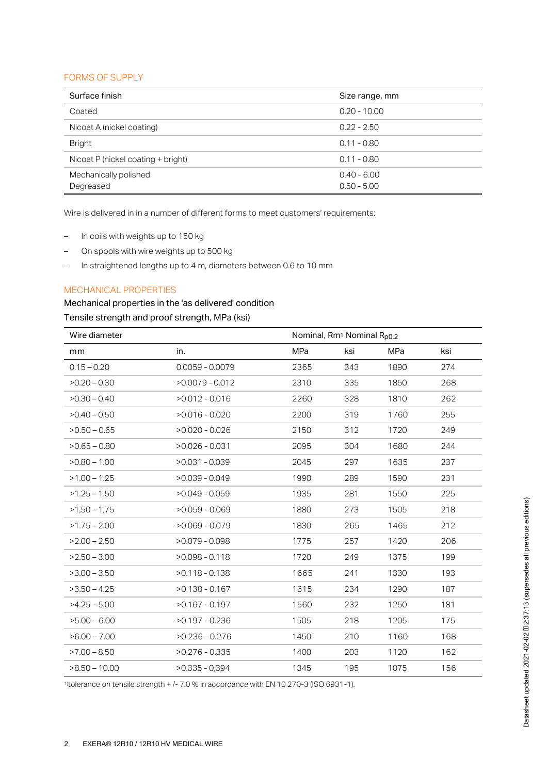## FORMS OF SUPPLY

| Surface finish                     | Size range, mm                 |
|------------------------------------|--------------------------------|
| Coated                             | $0.20 - 10.00$                 |
| Nicoat A (nickel coating)          | $0.22 - 2.50$                  |
| <b>Bright</b>                      | $0.11 - 0.80$                  |
| Nicoat P (nickel coating + bright) | $0.11 - 0.80$                  |
| Mechanically polished<br>Degreased | $0.40 - 6.00$<br>$0.50 - 5.00$ |

Wire is delivered in in a number of different forms to meet customers' requirements:

- In coils with weights up to 150 kg
- On spools with wire weights up to 500 kg
- In straightened lengths up to 4 m, diameters between 0.6 to 10 mm

# MECHANICAL PROPERTIES

# Mechanical properties in the 'as delivered' condition

# Tensile strength and proof strength, MPa (ksi)

| Wire diameter   |                   |            | Nominal, Rm <sup>1</sup> Nominal R <sub>p0.2</sub> |      |     |  |
|-----------------|-------------------|------------|----------------------------------------------------|------|-----|--|
| mm              | in.               | <b>MPa</b> | ksi                                                | MPa  | ksi |  |
| $0.15 - 0.20$   | $0.0059 - 0.0079$ | 2365       | 343                                                | 1890 | 274 |  |
| $>0.20 - 0.30$  | $>0.0079 - 0.012$ | 2310       | 335                                                | 1850 | 268 |  |
| $>0.30 - 0.40$  | $>0.012 - 0.016$  | 2260       | 328                                                | 1810 | 262 |  |
| $>0.40 - 0.50$  | $>0.016 - 0.020$  | 2200       | 319                                                | 1760 | 255 |  |
| $>0.50 - 0.65$  | $>0.020 - 0.026$  | 2150       | 312                                                | 1720 | 249 |  |
| $>0.65 - 0.80$  | $>0.026 - 0.031$  | 2095       | 304                                                | 1680 | 244 |  |
| $>0.80 - 1.00$  | $>0.031 - 0.039$  | 2045       | 297                                                | 1635 | 237 |  |
| $>1.00 - 1.25$  | $>0.039 - 0.049$  | 1990       | 289                                                | 1590 | 231 |  |
| $>1.25 - 1.50$  | $>0.049 - 0.059$  | 1935       | 281                                                | 1550 | 225 |  |
| $>1,50 - 1,75$  | $>0.059 - 0.069$  | 1880       | 273                                                | 1505 | 218 |  |
| $>1.75 - 2.00$  | $>0.069 - 0.079$  | 1830       | 265                                                | 1465 | 212 |  |
| $>2.00 - 2.50$  | $>0.079 - 0.098$  | 1775       | 257                                                | 1420 | 206 |  |
| $>2.50 - 3.00$  | $>0.098 - 0.118$  | 1720       | 249                                                | 1375 | 199 |  |
| $>3.00 - 3.50$  | $>0.118 - 0.138$  | 1665       | 241                                                | 1330 | 193 |  |
| $>3.50 - 4.25$  | $>0.138 - 0.167$  | 1615       | 234                                                | 1290 | 187 |  |
| $>4.25 - 5.00$  | $>0.167 - 0.197$  | 1560       | 232                                                | 1250 | 181 |  |
| $>5.00 - 6.00$  | $>0.197 - 0.236$  | 1505       | 218                                                | 1205 | 175 |  |
| $>6.00 - 7.00$  | $>0.236 - 0.276$  | 1450       | 210                                                | 1160 | 168 |  |
| $>7.00 - 8.50$  | $>0.276 - 0.335$  | 1400       | 203                                                | 1120 | 162 |  |
| $>8.50 - 10.00$ | $>0.335 - 0.394$  | 1345       | 195                                                | 1075 | 156 |  |

 $\frac{1}{10}$  tolerance on tensile strength + /- 7.0 % in accordance with EN 10 270-3 (ISO 6931-1).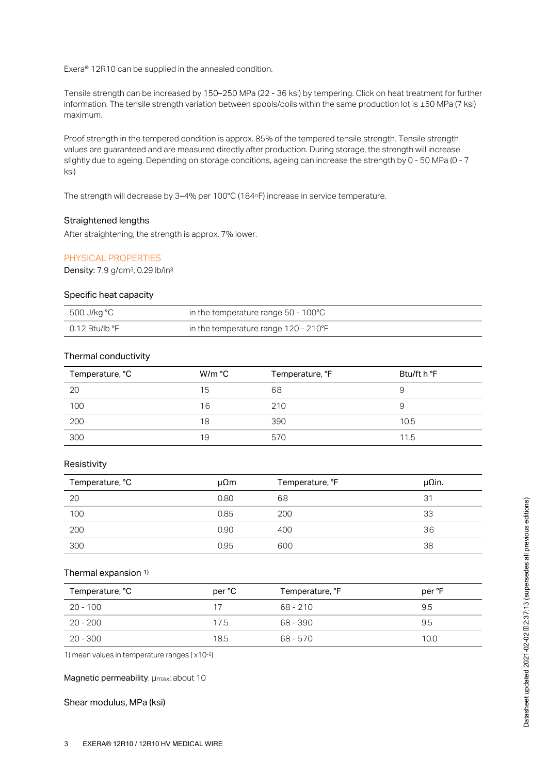Exera® 12R10 can be supplied in the annealed condition.

Tensile strength can be increased by 150–250 MPa (22 - 36 ksi) by tempering. Click on heat treatment for further information. The tensile strength variation between spools/coils within the same production lot is ±50 MPa (7 ksi) maximum.

Proof strength in the tempered condition is approx. 85% of the tempered tensile strength. Tensile strength values are guaranteed and are measured directly after production. During storage, the strength will increase slightly due to ageing. Depending on storage conditions, ageing can increase the strength by 0 - 50 MPa (0 - 7 ksi)

The strength will decrease by 3–4% per 100°C (184°F) increase in service temperature.

## Straightened lengths

After straightening, the strength is approx. 7% lower.

#### PHYSICAL PROPERTIES

Density: 7.9 g/cm<sup>3</sup>, 0.29 lb/in<sup>3</sup>

## Specific heat capacity

| 500 J/kg °C    | in the temperature range $50 - 100^{\circ}$ C |
|----------------|-----------------------------------------------|
| 0.12 Btu/lb °F | in the temperature range 120 - 210°F          |

## Thermal conductivity

| Temperature, °C | W/m °C | Temperature, °F | Btu/ft h °F |
|-----------------|--------|-----------------|-------------|
| 20              | 15     | 68              | g           |
| 100             | 16     | 210             | 9           |
| 200             | 18     | 390             | 10.5        |
| 300             | 19     | 570             | 11.5        |

### Resistivity

| Temperature, °C | $\mu\Omega$ m | Temperature, °F | μΩin. |
|-----------------|---------------|-----------------|-------|
| 20              | 0.80          | 68              | 31    |
| 100             | 0.85          | 200             | 33    |
| 200             | 0.90          | 400             | 36    |
| 300             | 0.95          | 600             | 38    |

#### Thermal expansion 1)

| Temperature, °C | per °C | Temperature, °F | per °F |
|-----------------|--------|-----------------|--------|
| $20 - 100$      | 17     | $68 - 210$      | 9.5    |
| 20 - 200        | 17.5   | 68 - 390        | 9.5    |
| 20 - 300        | 18.5   | 68 - 570        | 10.0   |

1) mean values in temperature ranges ( $\times$ 10-6)

#### Magnetic permeability, umax: about 10

## Shear modulus, MPa (ksi)